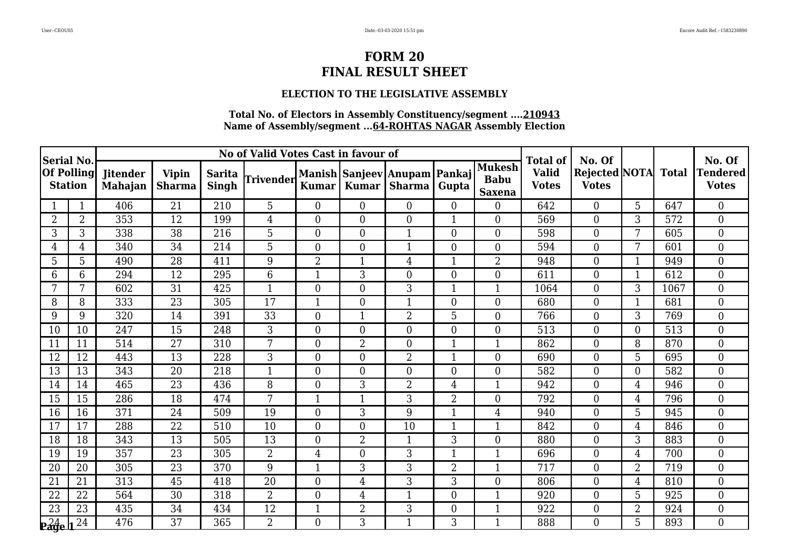### **ELECTION TO THE LEGISLATIVE ASSEMBLY**

| <b>Serial No.</b>                                                            |                   |                                   |                        |                               | No of Valid Votes Cast in favour of |                  |                |                                        |                |                                               | <b>Total of</b>              | No. Of                               |                |              | No. Of                          |
|------------------------------------------------------------------------------|-------------------|-----------------------------------|------------------------|-------------------------------|-------------------------------------|------------------|----------------|----------------------------------------|----------------|-----------------------------------------------|------------------------------|--------------------------------------|----------------|--------------|---------------------------------|
| <b>Station</b>                                                               | <b>Of Polling</b> | <b>Jitender</b><br><b>Mahajan</b> | <b>Vipin</b><br>Sharma | <b>Sarita</b><br><b>Singh</b> | Trivender                           | <b>Kumar</b>     | <b>Kumar</b>   | Manish Sanjeev Anupam Pankaj<br>Sharma | Gupta          | <b>Mukesh</b><br><b>Babu</b><br><b>Saxena</b> | <b>Valid</b><br><b>Votes</b> | <b>Rejected NOTA</b><br><b>Votes</b> |                | <b>Total</b> | <b>Tendered</b><br><b>Votes</b> |
|                                                                              | $\mathbf{1}$      | 406                               | 21                     | 210                           | 5                                   | $\overline{0}$   | $\theta$       | $\overline{0}$                         | $\overline{0}$ | $\overline{0}$                                | 642                          | $\overline{0}$                       | 5 <sup>1</sup> | 647          | $\overline{0}$                  |
| 2                                                                            | $\overline{2}$    | 353                               | 12                     | 199                           | $\overline{4}$                      | $\overline{0}$   | $\Omega$       | $\Omega$                               | 1              | $\overline{0}$                                | 569                          | $\overline{0}$                       | 3              | 572          | $\overline{0}$                  |
| 3                                                                            | 3                 | 338                               | 38                     | 216                           | 5                                   | $\overline{0}$   | $\Omega$       | $\mathbf{1}$                           | $\overline{0}$ | $\overline{0}$                                | 598                          | $\overline{0}$                       | 7              | 605          | $\overline{0}$                  |
| 4                                                                            | 4                 | 340                               | 34                     | 214                           | 5                                   | $\overline{0}$   | $\theta$       | $\mathbf{1}$                           | $\theta$       | $\overline{0}$                                | 594                          | $\overline{0}$                       | 7              | 601          | $\mathbf{0}$                    |
| 5                                                                            | 5                 | 490                               | 28                     | 411                           | 9                                   | $\overline{2}$   | 1              | 4                                      | $\mathbf 1$    | 2                                             | 948                          | $\overline{0}$                       |                | 949          | $\boldsymbol{0}$                |
| 6                                                                            | 6                 | 294                               | 12                     | 295                           | 6                                   | $\mathbf{1}$     | 3              | $\overline{0}$                         | $\mathbf{0}$   | $\overline{0}$                                | 611                          | $\boldsymbol{0}$                     | 1              | 612          | $\boldsymbol{0}$                |
|                                                                              | 7                 | 602                               | 31                     | 425                           | 1                                   | $\boldsymbol{0}$ | $\Omega$       | 3                                      | $\mathbf{1}$   | 1                                             | 1064                         | $\overline{0}$                       | 3              | 1067         | $\boldsymbol{0}$                |
| 8                                                                            | 8                 | 333                               | 23                     | 305                           | 17                                  |                  | $\overline{0}$ | 1                                      | $\overline{0}$ | $\overline{0}$                                | 680                          | $\overline{0}$                       |                | 681          | $\overline{0}$                  |
| 9                                                                            | 9                 | 320                               | 14                     | 391                           | $\overline{33}$                     | $\boldsymbol{0}$ |                | $\overline{2}$                         | $\overline{5}$ | $\overline{0}$                                | 766                          | $\overline{0}$                       | 3              | 769          | $\mathbf{0}$                    |
| 10                                                                           | 10                | 247                               | 15                     | 248                           | 3                                   | $\overline{0}$   | $\Omega$       | $\overline{0}$                         | $\theta$       | $\overline{0}$                                | 513                          | $\overline{0}$                       | $\Omega$       | 513          | $\boldsymbol{0}$                |
| 11                                                                           | 11                | 514                               | 27                     | 310                           | 7                                   | $\overline{0}$   | $\overline{2}$ | $\overline{0}$                         | $\overline{1}$ |                                               | 862                          | $\overline{0}$                       | 8              | 870          | $\boldsymbol{0}$                |
| 12                                                                           | 12                | 443                               | 13                     | 228                           | 3                                   | $\boldsymbol{0}$ | $\theta$       | 2                                      | $\overline{1}$ | $\overline{0}$                                | 690                          | $\boldsymbol{0}$                     | 5              | 695          | $\boldsymbol{0}$                |
| 13                                                                           | 13                | 343                               | 20                     | 218                           | $\mathbf{1}$                        | $\overline{0}$   | $\Omega$       | $\overline{0}$                         | $\theta$       | $\overline{0}$                                | 582                          | $\overline{0}$                       | $\Omega$       | 582          | $\overline{0}$                  |
| 14                                                                           | 14                | 465                               | 23                     | 436                           | 8                                   | $\boldsymbol{0}$ | 3              | $\overline{2}$                         | $\overline{4}$ |                                               | 942                          | $\overline{0}$                       | 4              | 946          | $\overline{0}$                  |
| 15                                                                           | 15                | 286                               | 18                     | 474                           | 7                                   |                  |                | 3                                      | $\overline{2}$ | $\overline{0}$                                | 792                          | $\overline{0}$                       | 4              | 796          | $\overline{0}$                  |
| 16                                                                           | 16                | 371                               | 24                     | 509                           | 19                                  | $\overline{0}$   | 3              | 9                                      | $\overline{1}$ | $\overline{4}$                                | 940                          | $\overline{0}$                       | 5              | 945          | $\boldsymbol{0}$                |
| 17                                                                           | 17                | 288                               | 22                     | 510                           | 10                                  | $\overline{0}$   | $\overline{0}$ | 10                                     | $\mathbf{1}$   | 1                                             | 842                          | $\overline{0}$                       | 4              | 846          | $\overline{0}$                  |
| 18                                                                           | 18                | 343                               | $\overline{13}$        | 505                           | $\overline{13}$                     | $\overline{0}$   | $\overline{2}$ | $\mathbf{1}$                           | 3              | $\overline{0}$                                | 880                          | $\theta$                             | 3              | 883          | $\overline{0}$                  |
| 19                                                                           | 19                | 357                               | 23                     | 305                           | $\overline{2}$                      | $\overline{4}$   | $\Omega$       | 3                                      | $\mathbf{1}$   | 1                                             | 696                          | $\boldsymbol{0}$                     | 4              | 700          | $\boldsymbol{0}$                |
| 20                                                                           | 20                | 305                               | 23                     | 370                           | 9                                   | $\mathbf 1$      | 3              | 3                                      | $\overline{2}$ |                                               | 717                          | $\boldsymbol{0}$                     | $\overline{2}$ | 719          | $\boldsymbol{0}$                |
| 21                                                                           | 21                | 313                               | 45                     | 418                           | 20                                  | $\overline{0}$   | $\overline{4}$ | 3                                      | 3              | $\overline{0}$                                | 806                          | $\overline{0}$                       | 4              | 810          | $\overline{0}$                  |
| 22                                                                           | 22                | 564                               | 30                     | 318                           | 2                                   | $\boldsymbol{0}$ | 4              | $\mathbf 1$                            | $\mathbf{0}$   | 1                                             | 920                          | $\boldsymbol{0}$                     | 5              | 925          | $\boldsymbol{0}$                |
| 23                                                                           | 23                | 435                               | 34                     | 434                           | 12                                  | $\mathbf{1}$     | $\overline{2}$ | 3                                      | $\overline{0}$ | $\mathbf{1}$                                  | 922                          | $\overline{0}$                       | $\overline{2}$ | 924          | $\boldsymbol{0}$                |
| $\overline{\mathbf{p}^2_{{\mathbf{a}}{\mathbf{g}}} \mathbf{e}}$ $\mathbf{r}$ | 24                | 476                               | 37                     | 365                           | $\overline{2}$                      | $\overline{0}$   | 3              | $\mathbf{1}$                           | 3              | 1                                             | 888                          | $\Omega$                             | 5              | 893          | $\theta$                        |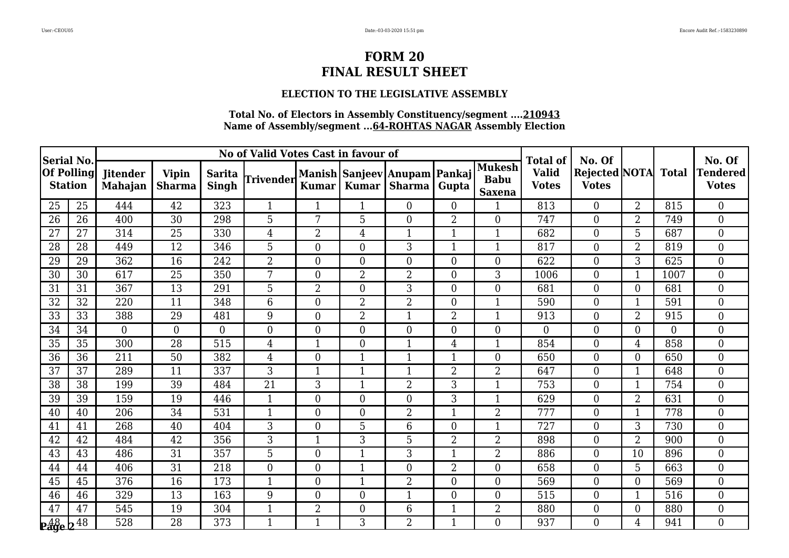### **ELECTION TO THE LEGISLATIVE ASSEMBLY**

| <b>Serial No.</b>          |                   |                                   |                               |                        | No of Valid Votes Cast in favour of |                  |                |                                                |                |                                        | <b>Total of</b>              | No. Of                               |                |                | No. Of                          |
|----------------------------|-------------------|-----------------------------------|-------------------------------|------------------------|-------------------------------------|------------------|----------------|------------------------------------------------|----------------|----------------------------------------|------------------------------|--------------------------------------|----------------|----------------|---------------------------------|
| <b>Station</b>             | <b>Of Polling</b> | <b>Jitender</b><br><b>Mahajan</b> | <b>Vipin</b><br><b>Sharma</b> | <b>Sarita</b><br>Singh | Trivender                           | <b>Kumar</b>     | <b>Kumar</b>   | Manish Sanjeev Anupam Pankaj<br>Sharma   Gupta |                | Mukesh<br><b>Babu</b><br><b>Saxena</b> | <b>Valid</b><br><b>Votes</b> | <b>Rejected NOTA</b><br><b>Votes</b> |                | <b>Total</b>   | <b>Tendered</b><br><b>Votes</b> |
| 25                         | 25                | 444                               | 42                            | 323                    |                                     |                  |                | $\overline{0}$                                 | $\overline{0}$ |                                        | 813                          | $\overline{0}$                       | $\overline{2}$ | 815            | $\boldsymbol{0}$                |
| 26                         | 26                | 400                               | 30                            | 298                    | 5                                   | 7                | 5              | $\overline{0}$                                 | $\overline{2}$ | $\overline{0}$                         | 747                          | $\overline{0}$                       | $\overline{2}$ | 749            | $\overline{0}$                  |
| 27                         | 27                | 314                               | 25                            | 330                    | $\overline{4}$                      | $\overline{2}$   | 4              | $\mathbf{1}$                                   | $\mathbf{1}$   |                                        | 682                          | $\overline{0}$                       | 5              | 687            | $\overline{0}$                  |
| 28                         | 28                | 449                               | $\overline{12}$               | 346                    | $\overline{5}$                      | $\overline{0}$   | $\Omega$       | 3                                              | $\mathbf{1}$   | $\mathbf{1}$                           | 817                          | $\theta$                             | $\overline{2}$ | 819            | $\overline{0}$                  |
| 29                         | 29                | 362                               | 16                            | 242                    | $\overline{2}$                      | $\boldsymbol{0}$ | $\Omega$       | $\overline{0}$                                 | $\overline{0}$ | $\overline{0}$                         | 622                          | $\overline{0}$                       | 3              | 625            | $\overline{0}$                  |
| 30                         | 30                | 617                               | 25                            | 350                    | 7                                   | $\overline{0}$   | $\overline{2}$ | $\overline{2}$                                 | $\overline{0}$ | 3                                      | 1006                         | $\overline{0}$                       |                | 1007           | $\overline{0}$                  |
| 31                         | 31                | 367                               | 13                            | 291                    | 5                                   | $\overline{2}$   | $\Omega$       | 3                                              | $\theta$       | $\overline{0}$                         | 681                          | $\overline{0}$                       | $\Omega$       | 681            | $\overline{0}$                  |
| 32                         | 32                | 220                               | 11                            | 348                    | 6                                   | $\boldsymbol{0}$ | $\overline{2}$ | $\overline{2}$                                 | $\theta$       |                                        | 590                          | $\overline{0}$                       |                | 591            | $\overline{0}$                  |
| 33                         | 33                | 388                               | 29                            | 481                    | 9                                   | $\boldsymbol{0}$ | $\overline{2}$ | $\mathbf{1}$                                   | $\overline{2}$ | $\mathbf{1}$                           | 913                          | $\boldsymbol{0}$                     | $\overline{2}$ | 915            | $\boldsymbol{0}$                |
| 34                         | 34                | $\overline{0}$                    | $\overline{0}$                | $\overline{0}$         | $\overline{0}$                      | $\overline{0}$   | $\theta$       | $\overline{0}$                                 | $\overline{0}$ | $\overline{0}$                         | $\overline{0}$               | $\overline{0}$                       | $\Omega$       | $\overline{0}$ | $\boldsymbol{0}$                |
| 35                         | 35                | 300                               | 28                            | 515                    | 4                                   | $\mathbf{1}$     | $\overline{0}$ | $\mathbf{1}$                                   | $\overline{4}$ |                                        | 854                          | $\boldsymbol{0}$                     | 4              | 858            | $\overline{0}$                  |
| 36                         | 36                | 211                               | 50                            | 382                    | $\overline{4}$                      | $\overline{0}$   | 1              | $\mathbf{1}$                                   | $\mathbf{1}$   | $\overline{0}$                         | 650                          | $\overline{0}$                       | $\Omega$       | 650            | $\overline{0}$                  |
| 37                         | 37                | 289                               | 11                            | 337                    | 3                                   | $\mathbf{1}$     | 1              | $\mathbf{1}$                                   | $\overline{2}$ | $\overline{2}$                         | 647                          | $\theta$                             | 1              | 648            | $\overline{0}$                  |
| 38                         | 38                | 199                               | 39                            | 484                    | 21                                  | 3                | 1              | $\overline{2}$                                 | 3              | 1                                      | 753                          | $\overline{0}$                       |                | 754            | $\overline{0}$                  |
| 39                         | 39                | 159                               | 19                            | 446                    | 1                                   | $\boldsymbol{0}$ | $\theta$       | $\overline{0}$                                 | 3              | 1                                      | 629                          | $\boldsymbol{0}$                     | $\overline{2}$ | 631            | $\boldsymbol{0}$                |
| 40                         | 40                | 206                               | 34                            | 531                    | 1                                   | $\overline{0}$   | $\Omega$       | $\overline{2}$                                 | $\mathbf{1}$   | $\overline{2}$                         | 777                          | $\overline{0}$                       | 1              | 778            | $\boldsymbol{0}$                |
| 41                         | 41                | 268                               | 40                            | 404                    | 3                                   | $\boldsymbol{0}$ | 5              | 6                                              | $\overline{0}$ | 1                                      | 727                          | $\overline{0}$                       | $\overline{3}$ | 730            | $\overline{0}$                  |
| 42                         | 42                | 484                               | 42                            | 356                    | 3                                   | 1                | 3              | 5                                              | $\overline{2}$ | $\overline{2}$                         | 898                          | $\overline{0}$                       | $\overline{2}$ | 900            | $\overline{0}$                  |
| 43                         | 43                | 486                               | 31                            | 357                    | 5                                   | $\boldsymbol{0}$ | 1              | 3                                              | $\overline{1}$ | $\overline{2}$                         | 886                          | $\boldsymbol{0}$                     | 10             | 896            | $\boldsymbol{0}$                |
| 44                         | 44                | 406                               | 31                            | 218                    | $\overline{0}$                      | $\boldsymbol{0}$ |                | $\overline{0}$                                 | $\overline{2}$ | $\overline{0}$                         | 658                          | $\boldsymbol{0}$                     | 5              | 663            | $\boldsymbol{0}$                |
| 45                         | 45                | 376                               | 16                            | 173                    | $\mathbf{1}$                        | $\overline{0}$   | $\mathbf{1}$   | $\overline{2}$                                 | $\overline{0}$ | $\overline{0}$                         | 569                          | $\overline{0}$                       | $\Omega$       | 569            | $\overline{0}$                  |
| 46                         | 46                | 329                               | 13                            | 163                    | 9                                   | $\overline{0}$   | $\Omega$       | 1                                              | $\theta$       | $\overline{0}$                         | 515                          | $\overline{0}$                       |                | 516            | $\overline{0}$                  |
| 47                         | 47                | 545                               | 19                            | 304                    | $\mathbf{1}$                        | $\overline{2}$   | $\overline{0}$ | 6                                              | $\mathbf{1}$   | $\overline{2}$                         | 880                          | $\boldsymbol{0}$                     | $\Omega$       | 880            | $\boldsymbol{0}$                |
| $\frac{48}{29}$ e $2^{48}$ |                   | 528                               | 28                            | 373                    | 1                                   | $\mathbf{1}$     | 3              | $\overline{2}$                                 | $\mathbf{1}$   | $\Omega$                               | 937                          | $\Omega$                             | 4              | 941            | $\Omega$                        |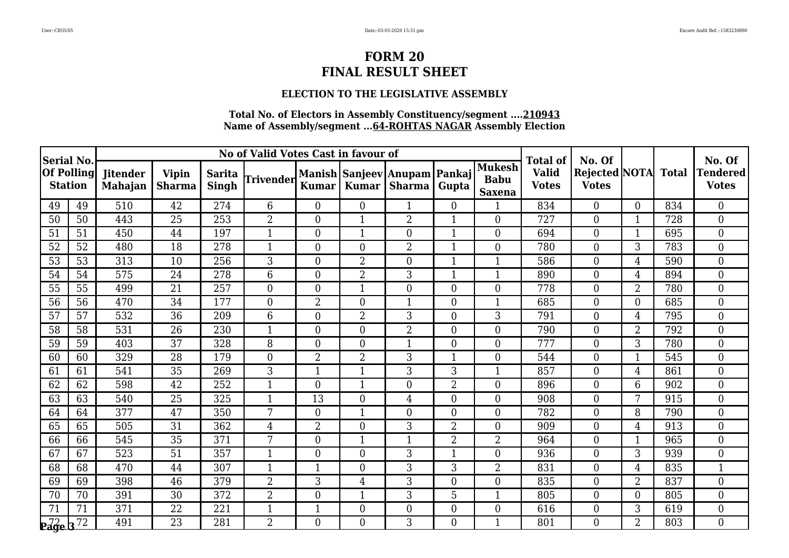### **ELECTION TO THE LEGISLATIVE ASSEMBLY**

| <b>Serial No.</b>                   |    |                                   |                               |                        | No of Valid Votes Cast in favour of |                  |                |                                        |                |                                               | <b>Total of</b>              | No. Of                               |                |              | No. Of                          |
|-------------------------------------|----|-----------------------------------|-------------------------------|------------------------|-------------------------------------|------------------|----------------|----------------------------------------|----------------|-----------------------------------------------|------------------------------|--------------------------------------|----------------|--------------|---------------------------------|
| <b>Of Polling</b><br><b>Station</b> |    | <b>Jitender</b><br><b>Mahajan</b> | <b>Vipin</b><br><b>Sharma</b> | <b>Sarita</b><br>Singh | <b>Trivender</b>                    | <b>Kumar</b>     | <b>Kumar</b>   | Manish Sanjeev Anupam Pankaj<br>Sharma | Gupta          | <b>Mukesh</b><br><b>Babu</b><br><b>Saxena</b> | <b>Valid</b><br><b>Votes</b> | <b>Rejected NOTA</b><br><b>Votes</b> |                | <b>Total</b> | <b>Tendered</b><br><b>Votes</b> |
| 49                                  | 49 | 510                               | 42                            | 274                    | 6                                   | $\overline{0}$   | $\Omega$       | $\mathbf 1$                            | $\overline{0}$ |                                               | 834                          | $\overline{0}$                       | $\Omega$       | 834          | $\overline{0}$                  |
| 50                                  | 50 | 443                               | 25                            | 253                    | $\overline{2}$                      | $\boldsymbol{0}$ | 1              | $\overline{2}$                         | $\mathbf{1}$   | $\overline{0}$                                | 727                          | $\overline{0}$                       | 1              | 728          | $\boldsymbol{0}$                |
| 51                                  | 51 | 450                               | 44                            | 197                    | 1                                   | $\overline{0}$   |                | $\theta$                               | $\mathbf{1}$   | $\overline{0}$                                | 694                          | $\overline{0}$                       |                | 695          | $\boldsymbol{0}$                |
| 52                                  | 52 | 480                               | 18                            | 278                    | 1                                   | $\overline{0}$   | $\Omega$       | $\overline{2}$                         | $\mathbf{1}$   | $\overline{0}$                                | 780                          | $\overline{0}$                       | 3              | 783          | $\overline{0}$                  |
| 53                                  | 53 | 313                               | 10                            | 256                    | 3                                   | $\boldsymbol{0}$ | $\overline{2}$ | $\overline{0}$                         | $\mathbf{1}$   | $\mathbf{1}$                                  | 586                          | $\overline{0}$                       | 4              | 590          | $\overline{0}$                  |
| 54                                  | 54 | 575                               | 24                            | 278                    | 6                                   | $\boldsymbol{0}$ | $\overline{2}$ | 3                                      | $\mathbf{1}$   | $\mathbf{1}$                                  | 890                          | $\boldsymbol{0}$                     | 4              | 894          | $\boldsymbol{0}$                |
| 55                                  | 55 | 499                               | 21                            | 257                    | $\overline{0}$                      | $\overline{0}$   | $\mathbf{1}$   | $\overline{0}$                         | $\theta$       | $\overline{0}$                                | 778                          | $\overline{0}$                       | $\overline{2}$ | 780          | $\boldsymbol{0}$                |
| 56                                  | 56 | 470                               | 34                            | 177                    | $\boldsymbol{0}$                    | 2                | $\Omega$       | $\mathbf{1}$                           | $\overline{0}$ |                                               | 685                          | $\boldsymbol{0}$                     | $\Omega$       | 685          | $\overline{0}$                  |
| 57                                  | 57 | 532                               | $\overline{36}$               | 209                    | 6                                   | $\boldsymbol{0}$ | $\overline{2}$ | 3                                      | $\overline{0}$ | 3                                             | 791                          | $\overline{0}$                       | $\overline{4}$ | 795          | $\boldsymbol{0}$                |
| 58                                  | 58 | 531                               | 26                            | 230                    | $\mathbf{1}$                        | $\overline{0}$   | $\Omega$       | $\overline{2}$                         | $\theta$       | $\overline{0}$                                | 790                          | $\overline{0}$                       | $\overline{2}$ | 792          | $\boldsymbol{0}$                |
| 59                                  | 59 | 403                               | 37                            | 328                    | 8                                   | $\overline{0}$   | $\theta$       | 1                                      | $\overline{0}$ | $\overline{0}$                                | 777                          | $\overline{0}$                       | 3              | 780          | $\overline{0}$                  |
| 60                                  | 60 | 329                               | 28                            | 179                    | $\overline{0}$                      | $\overline{2}$   | $\overline{2}$ | 3                                      | $\overline{1}$ | $\overline{0}$                                | 544                          | $\boldsymbol{0}$                     |                | 545          | $\mathbf{0}$                    |
| 61                                  | 61 | 541                               | 35                            | 269                    | 3                                   | $\mathbf{1}$     | 1              | 3                                      | 3              | $\mathbf{1}$                                  | 857                          | $\overline{0}$                       | 4              | 861          | $\boldsymbol{0}$                |
| 62                                  | 62 | 598                               | 42                            | 252                    | $\mathbf{1}$                        | $\overline{0}$   | 1              | $\overline{0}$                         | $\overline{2}$ | $\overline{0}$                                | 896                          | $\boldsymbol{0}$                     | 6              | 902          | $\boldsymbol{0}$                |
| 63                                  | 63 | 540                               | 25                            | 325                    | 1                                   | 13               | $\theta$       | $\overline{4}$                         | $\overline{0}$ | $\overline{0}$                                | 908                          | $\overline{0}$                       | $\overline{7}$ | 915          | $\mathbf{0}$                    |
| 64                                  | 64 | 377                               | 47                            | 350                    | 7                                   | $\boldsymbol{0}$ |                | $\overline{0}$                         | $\overline{0}$ | $\overline{0}$                                | 782                          | $\boldsymbol{0}$                     | 8              | 790          | $\boldsymbol{0}$                |
| 65                                  | 65 | 505                               | 31                            | 362                    | $\overline{4}$                      | $\overline{2}$   | $\Omega$       | 3                                      | $\overline{2}$ | $\overline{0}$                                | 909                          | $\boldsymbol{0}$                     | 4              | 913          | $\boldsymbol{0}$                |
| 66                                  | 66 | 545                               | $\overline{35}$               | 371                    | $\overline{7}$                      | $\overline{0}$   | 1              | $\mathbf{1}$                           | $\overline{2}$ | $\overline{2}$                                | 964                          | $\overline{0}$                       |                | 965          | $\overline{0}$                  |
| 67                                  | 67 | 523                               | 51                            | 357                    |                                     | $\overline{0}$   | $\overline{0}$ | 3                                      | 1              | $\overline{0}$                                | 936                          | $\overline{0}$                       | 3              | 939          | $\overline{0}$                  |
| 68                                  | 68 | 470                               | 44                            | 307                    | 1                                   | $\mathbf{1}$     | $\theta$       | 3                                      | 3              | $\overline{2}$                                | 831                          | $\overline{0}$                       | 4              | 835          | $\mathbf{1}$                    |
| 69                                  | 69 | 398                               | 46                            | 379                    | $\overline{2}$                      | 3                | 4              | 3                                      | $\theta$       | $\overline{0}$                                | 835                          | $\theta$                             | $\overline{2}$ | 837          | $\overline{0}$                  |
| 70                                  | 70 | 391                               | 30                            | 372                    | $\overline{2}$                      | $\overline{0}$   |                | 3                                      | 5              |                                               | 805                          | $\overline{0}$                       | $\Omega$       | 805          | $\overline{0}$                  |
| 71                                  | 71 | 371                               | 22                            | 221                    | 1                                   | $\mathbf{1}$     | $\overline{0}$ | $\overline{0}$                         | $\overline{0}$ | $\overline{0}$                                | 616                          | $\boldsymbol{0}$                     | 3              | 619          | $\boldsymbol{0}$                |
| $\mathbf{p}$ age b $\overline{72}$  |    | 491                               | 23                            | 281                    | $\overline{2}$                      | $\Omega$         | $\Omega$       | 3                                      | $\Omega$       | 1                                             | 801                          | $\Omega$                             | $\overline{2}$ | 803          | $\theta$                        |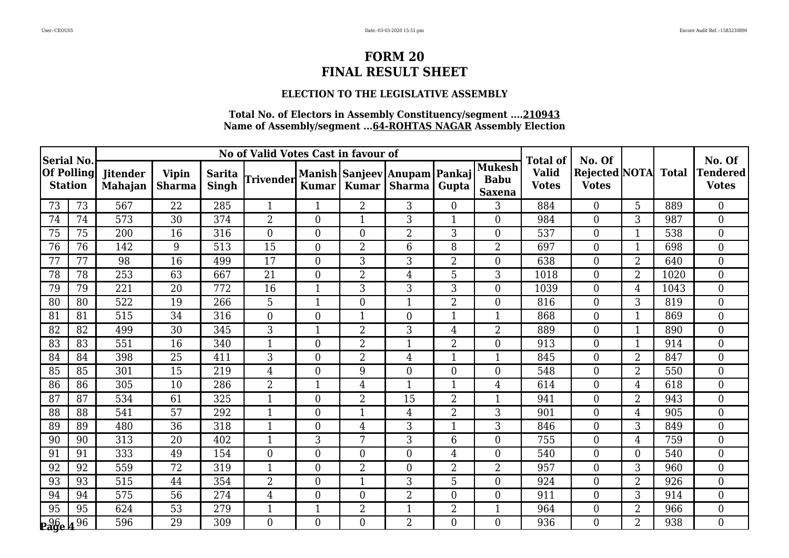### **ELECTION TO THE LEGISLATIVE ASSEMBLY**

| <b>Serial No.</b> |                   |                                   |                               |                        | No of Valid Votes Cast in favour of |                  |                |                                        |                |                                               | <b>Total of</b>              | No. Of                               |                |              | No. Of                          |
|-------------------|-------------------|-----------------------------------|-------------------------------|------------------------|-------------------------------------|------------------|----------------|----------------------------------------|----------------|-----------------------------------------------|------------------------------|--------------------------------------|----------------|--------------|---------------------------------|
| <b>Station</b>    | <b>Of Polling</b> | <b>Jitender</b><br><b>Mahajan</b> | <b>Vipin</b><br><b>Sharma</b> | <b>Sarita</b><br>Singh | Trivender                           | <b>Kumar</b>     | <b>Kumar</b>   | Manish Sanjeev Anupam Pankaj<br>Sharma | Gupta          | <b>Mukesh</b><br><b>Babu</b><br><b>Saxena</b> | <b>Valid</b><br><b>Votes</b> | <b>Rejected NOTA</b><br><b>Votes</b> |                | <b>Total</b> | <b>Tendered</b><br><b>Votes</b> |
| 73                | 73                | 567                               | 22                            | 285                    |                                     |                  | $\overline{2}$ | 3                                      | $\overline{0}$ | 3                                             | 884                          | $\overline{0}$                       | 5              | 889          | $\boldsymbol{0}$                |
| 74                | 74                | 573                               | 30                            | 374                    | $\overline{2}$                      | $\overline{0}$   | 1              | 3                                      | $\mathbf{1}$   | $\overline{0}$                                | 984                          | $\overline{0}$                       | 3              | 987          | $\overline{0}$                  |
| 75                | 75                | 200                               | 16                            | 316                    | $\overline{0}$                      | $\overline{0}$   | $\theta$       | $\overline{2}$                         | 3              | $\overline{0}$                                | 537                          | $\overline{0}$                       |                | 538          | $\overline{0}$                  |
| 76                | 76                | 142                               | 9                             | 513                    | $\overline{15}$                     | $\overline{0}$   | $\overline{2}$ | 6                                      | 8              | $\overline{2}$                                | 697                          | $\overline{0}$                       |                | 698          | $\overline{0}$                  |
| 77                | 77                | 98                                | 16                            | 499                    | 17                                  | $\boldsymbol{0}$ | 3              | 3                                      | $\overline{2}$ | $\overline{0}$                                | 638                          | $\overline{0}$                       | $\overline{2}$ | 640          | $\overline{0}$                  |
| 78                | 78                | 253                               | 63                            | 667                    | 21                                  | $\overline{0}$   | $\overline{2}$ | $\overline{4}$                         | 5              | 3                                             | 1018                         | $\overline{0}$                       | $\overline{2}$ | 1020         | $\overline{0}$                  |
| 79                | 79                | 221                               | 20                            | 772                    | 16                                  | $\mathbf{1}$     | 3              | 3                                      | 3              | $\overline{0}$                                | 1039                         | $\overline{0}$                       | 4              | 1043         | $\overline{0}$                  |
| 80                | 80                | 522                               | 19                            | 266                    | 5                                   | 1                | $\overline{0}$ | $\mathbf 1$                            | $\overline{2}$ | $\overline{0}$                                | 816                          | $\overline{0}$                       | 3              | 819          | $\overline{0}$                  |
| 81                | 81                | 515                               | 34                            | 316                    | $\overline{0}$                      | $\boldsymbol{0}$ | 1              | $\overline{0}$                         | $\mathbf{1}$   | $\mathbf{1}$                                  | 868                          | $\boldsymbol{0}$                     | 1              | 869          | $\boldsymbol{0}$                |
| 82                | 82                | 499                               | 30                            | 345                    | 3                                   | $\mathbf{1}$     | $\overline{2}$ | 3                                      | $\overline{4}$ | $\overline{2}$                                | 889                          | $\overline{0}$                       | 1              | 890          | $\boldsymbol{0}$                |
| 83                | 83                | 551                               | 16                            | 340                    |                                     | $\boldsymbol{0}$ | $\overline{2}$ | 1                                      | $\overline{2}$ | $\overline{0}$                                | 913                          | $\boldsymbol{0}$                     |                | 914          | $\overline{0}$                  |
| 84                | 84                | 398                               | 25                            | 411                    | 3                                   | $\overline{0}$   | $\overline{2}$ | $\overline{4}$                         | $\mathbf{1}$   | 1                                             | 845                          | $\overline{0}$                       | $\overline{2}$ | 847          | $\overline{0}$                  |
| 85                | 85                | 301                               | 15                            | 219                    | $\overline{4}$                      | $\overline{0}$   | 9              | $\Omega$                               | $\theta$       | $\Omega$                                      | 548                          | $\theta$                             | $\overline{2}$ | 550          | $\overline{0}$                  |
| 86                | 86                | 305                               | 10                            | 286                    | $\overline{2}$                      | $\mathbf{1}$     | 4              | $\mathbf 1$                            | $\mathbf{1}$   | 4                                             | 614                          | $\overline{0}$                       | 4              | 618          | $\overline{0}$                  |
| 87                | 87                | 534                               | 61                            | 325                    |                                     | $\boldsymbol{0}$ | 2              | 15                                     | $\overline{2}$ | 1                                             | 941                          | $\overline{0}$                       | $\overline{2}$ | 943          | $\boldsymbol{0}$                |
| 88                | 88                | 541                               | 57                            | 292                    | 1                                   | $\overline{0}$   | 1              | $\overline{4}$                         | $\overline{2}$ | 3                                             | 901                          | $\overline{0}$                       | 4              | 905          | $\boldsymbol{0}$                |
| 89                | 89                | 480                               | 36                            | 318                    | 1                                   | $\boldsymbol{0}$ | 4              | 3                                      | $\mathbf{1}$   | 3                                             | 846                          | $\overline{0}$                       | 3              | 849          | $\overline{0}$                  |
| 90                | 90                | 313                               | 20                            | 402                    | $\mathbf{1}$                        | 3                | 7              | 3                                      | 6              | $\overline{0}$                                | 755                          | $\overline{0}$                       | 4              | 759          | $\overline{0}$                  |
| 91                | 91                | 333                               | 49                            | 154                    | $\overline{0}$                      | $\boldsymbol{0}$ | $\Omega$       | $\overline{0}$                         | $\overline{4}$ | $\overline{0}$                                | 540                          | $\boldsymbol{0}$                     | $\Omega$       | 540          | $\boldsymbol{0}$                |
| 92                | 92                | 559                               | 72                            | 319                    |                                     | $\boldsymbol{0}$ | $\overline{2}$ | $\overline{0}$                         | $\overline{2}$ | $\overline{2}$                                | 957                          | $\boldsymbol{0}$                     | 3              | 960          | $\boldsymbol{0}$                |
| 93                | 93                | 515                               | 44                            | 354                    | $\overline{2}$                      | $\overline{0}$   | $\mathbf{1}$   | 3                                      | 5              | $\overline{0}$                                | 924                          | $\overline{0}$                       | $\overline{2}$ | 926          | $\overline{0}$                  |
| 94                | 94                | 575                               | 56                            | 274                    | $\overline{4}$                      | $\overline{0}$   | $\Omega$       | $\overline{2}$                         | $\theta$       | $\overline{0}$                                | 911                          | $\overline{0}$                       | 3              | 914          | $\overline{0}$                  |
| 95                | 95                | 624                               | 53                            | 279                    | $\mathbf{1}$                        | $\mathbf{1}$     | $\overline{2}$ | $\mathbf{1}$                           | $\overline{2}$ | $\mathbf{1}$                                  | 964                          | $\overline{0}$                       | 2              | 966          | $\boldsymbol{0}$                |
| $296 \sqrt{96}$   |                   | 596                               | 29                            | 309                    | $\Omega$                            | $\overline{0}$   | $\Omega$       | $\overline{2}$                         | $\Omega$       | $\Omega$                                      | 936                          | $\Omega$                             | $\overline{2}$ | 938          | $\Omega$                        |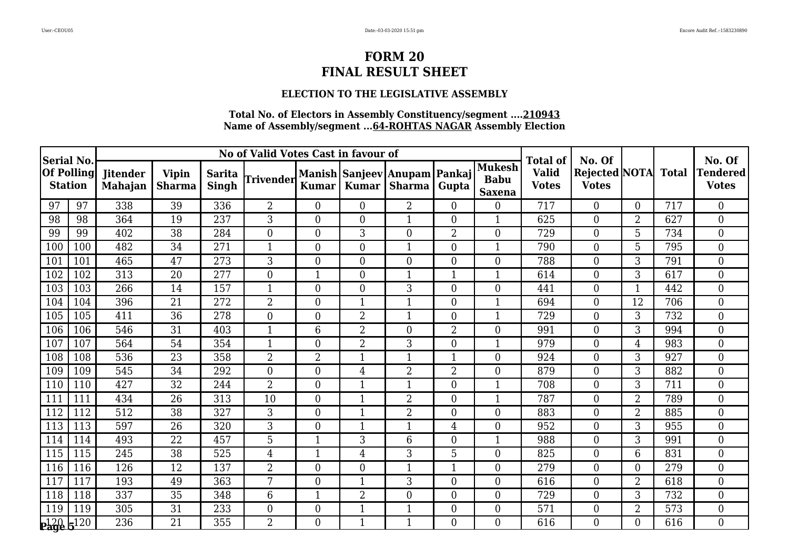### **ELECTION TO THE LEGISLATIVE ASSEMBLY**

| <b>Serial No.</b>                   |     |                                   |                        |                        | No of Valid Votes Cast in favour of |                  |                |                                        | <b>Total of</b> | No. Of                                        |                              |                                      | No. Of         |              |                                 |
|-------------------------------------|-----|-----------------------------------|------------------------|------------------------|-------------------------------------|------------------|----------------|----------------------------------------|-----------------|-----------------------------------------------|------------------------------|--------------------------------------|----------------|--------------|---------------------------------|
| <b>Of Polling</b><br><b>Station</b> |     | <b>Jitender</b><br><b>Mahajan</b> | <b>Vipin</b><br>Sharma | <b>Sarita</b><br>Singh | Trivender                           | <b>Kumar</b>     | <b>Kumar</b>   | Manish Sanjeev Anupam Pankaj<br>Sharma | Gupta           | <b>Mukesh</b><br><b>Babu</b><br><b>Saxena</b> | <b>Valid</b><br><b>Votes</b> | <b>Rejected NOTA</b><br><b>Votes</b> |                | <b>Total</b> | <b>Tendered</b><br><b>Votes</b> |
| 97                                  | 97  | 338                               | 39                     | 336                    | $\overline{2}$                      | $\overline{0}$   | $\Omega$       | $\overline{2}$                         | $\theta$        | $\overline{0}$                                | 717                          | $\theta$                             | $\Omega$       | 717          | $\overline{0}$                  |
| 98                                  | 98  | 364                               | 19                     | 237                    | 3                                   | $\boldsymbol{0}$ | $\Omega$       | $\mathbf{1}$                           | $\overline{0}$  | 1                                             | 625                          | $\boldsymbol{0}$                     | $\overline{2}$ | 627          | $\boldsymbol{0}$                |
| 99                                  | 99  | 402                               | 38                     | 284                    | $\boldsymbol{0}$                    | $\boldsymbol{0}$ | 3              | $\overline{0}$                         | $\overline{2}$  | $\overline{0}$                                | 729                          | $\boldsymbol{0}$                     | 5              | 734          | $\boldsymbol{0}$                |
| 100                                 | 100 | 482                               | 34                     | 271                    | 1                                   | $\overline{0}$   | $\Omega$       | $\mathbf{1}$                           | $\overline{0}$  | $\mathbf{1}$                                  | 790                          | $\overline{0}$                       | 5              | 795          | $\boldsymbol{0}$                |
| 101                                 | 101 | 465                               | 47                     | 273                    | 3                                   | $\boldsymbol{0}$ | $\overline{0}$ | $\overline{0}$                         | $\overline{0}$  | $\overline{0}$                                | 788                          | $\boldsymbol{0}$                     | 3              | 791          | $\mathbf{0}$                    |
| 102                                 | 102 | 313                               | 20                     | 277                    | $\overline{0}$                      | $\mathbf{1}$     | $\theta$       | $\mathbf{1}$                           | $\mathbf{1}$    | 1                                             | 614                          | $\overline{0}$                       | 3              | 617          | $\mathbf{0}$                    |
| 103                                 | 103 | 266                               | 14                     | 157                    | 1                                   | $\overline{0}$   | $\Omega$       | 3                                      | $\overline{0}$  | $\overline{0}$                                | 441                          | $\overline{0}$                       | 1              | 442          | $\overline{0}$                  |
| 104                                 | 104 | 396                               | 21                     | 272                    | $\overline{2}$                      | $\overline{0}$   | 1              | $\mathbf 1$                            | $\overline{0}$  |                                               | 694                          | $\overline{0}$                       | 12             | 706          | $\overline{0}$                  |
| 105                                 | 105 | 411                               | $\overline{36}$        | 278                    | $\overline{0}$                      | $\boldsymbol{0}$ | $\overline{2}$ | $\mathbf{1}$                           | $\overline{0}$  | 1                                             | 729                          | $\overline{0}$                       | 3              | 732          | $\overline{0}$                  |
| 106                                 | 106 | 546                               | 31                     | 403                    | 1                                   | 6                | $\overline{2}$ | $\Omega$                               | $\overline{2}$  | $\Omega$                                      | 991                          | $\theta$                             | 3              | 994          | $\overline{0}$                  |
| 107                                 | 107 | 564                               | 54                     | 354                    |                                     | $\overline{0}$   | $\overline{2}$ | 3                                      | $\overline{0}$  |                                               | 979                          | $\overline{0}$                       | 4              | 983          | $\overline{0}$                  |
| 108                                 | 108 | 536                               | 23                     | 358                    | $\overline{2}$                      | $\overline{2}$   |                | $\mathbf{1}$                           | $\mathbf{1}$    | $\overline{0}$                                | 924                          | $\overline{0}$                       | 3              | 927          | $\overline{0}$                  |
| 109                                 | 109 | 545                               | 34                     | 292                    | $\overline{0}$                      | $\boldsymbol{0}$ | 4              | $\overline{2}$                         | $\overline{2}$  | $\overline{0}$                                | 879                          | $\overline{0}$                       | 3              | 882          | $\boldsymbol{0}$                |
| 110                                 | 110 | 427                               | 32                     | 244                    | $\overline{2}$                      | $\overline{0}$   | 1              | $\mathbf{1}$                           | $\overline{0}$  |                                               | 708                          | $\overline{0}$                       | 3              | 711          | $\overline{0}$                  |
| 111                                 | 111 | 434                               | 26                     | 313                    | 10                                  | $\overline{0}$   | 1              | $\overline{2}$                         | $\overline{0}$  | 1                                             | 787                          | $\overline{0}$                       | $\overline{2}$ | 789          | $\overline{0}$                  |
| 112                                 | 112 | 512                               | 38                     | 327                    | 3                                   | $\boldsymbol{0}$ |                | $\overline{2}$                         | $\theta$        | $\overline{0}$                                | 883                          | $\overline{0}$                       | $\overline{2}$ | 885          | $\boldsymbol{0}$                |
| 113                                 | 113 | 597                               | 26                     | 320                    | 3                                   | $\boldsymbol{0}$ | 1              | $\mathbf{1}$                           | $\overline{4}$  | $\overline{0}$                                | 952                          | $\boldsymbol{0}$                     | 3              | 955          | $\boldsymbol{0}$                |
| 114                                 | 114 | 493                               | 22                     | 457                    | 5                                   | $\mathbf{1}$     | 3              | 6                                      | $\overline{0}$  | $\mathbf{1}$                                  | 988                          | $\overline{0}$                       | 3              | 991          | $\overline{0}$                  |
| 115                                 | 115 | 245                               | 38                     | 525                    | $\overline{4}$                      |                  | 4              | 3                                      | 5               | $\overline{0}$                                | 825                          | $\boldsymbol{0}$                     | 6              | 831          | $\mathbf{0}$                    |
| 116                                 | 116 | 126                               | 12                     | 137                    | $\overline{2}$                      | $\boldsymbol{0}$ | $\overline{0}$ | $\mathbf{1}$                           | $\mathbf{1}$    | $\overline{0}$                                | 279                          | $\boldsymbol{0}$                     | $\Omega$       | 279          | $\mathbf{0}$                    |
| 117                                 | 117 | 193                               | 49                     | 363                    | 7                                   | $\boldsymbol{0}$ | 1              | 3                                      | $\overline{0}$  | $\overline{0}$                                | 616                          | $\overline{0}$                       | $\overline{2}$ | 618          | $\overline{0}$                  |
| 118                                 | 118 | 337                               | 35                     | 348                    | 6                                   | $\mathbf{1}$     | $\overline{2}$ | $\overline{0}$                         | $\overline{0}$  | $\overline{0}$                                | 729                          | $\overline{0}$                       | 3              | 732          | $\overline{0}$                  |
| 119                                 | 119 | 305                               | $\overline{31}$        | 233                    | $\overline{0}$                      | $\boldsymbol{0}$ | $\mathbf 1$    | $\mathbf{1}$                           | $\overline{0}$  | $\overline{0}$                                | 571                          | $\boldsymbol{0}$                     | $\overline{2}$ | 573          | $\boldsymbol{0}$                |
| $20$ $5^{120}$                      |     | 236                               | 21                     | 355                    | $\overline{2}$                      | $\overline{0}$   | 1              | $\mathbf 1$                            | $\Omega$        | $\Omega$                                      | 616                          | $\Omega$                             | $\Omega$       | 616          | $\overline{0}$                  |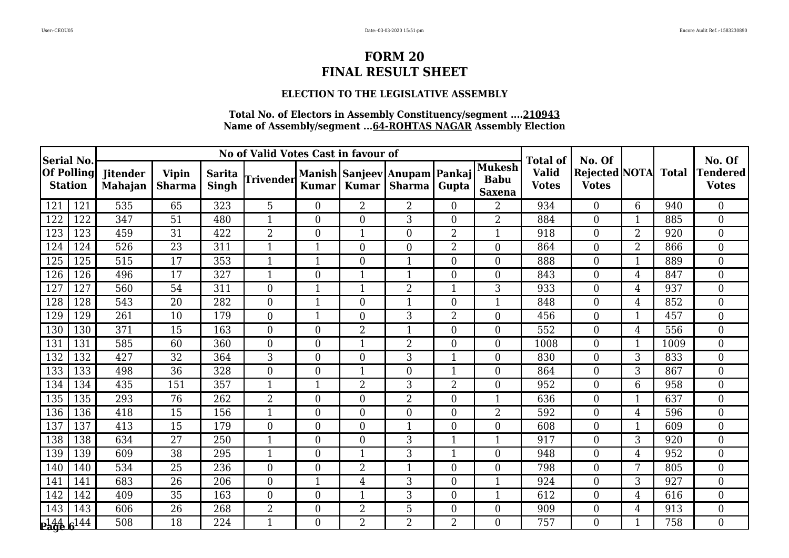### **ELECTION TO THE LEGISLATIVE ASSEMBLY**

| <b>Serial No.</b> |                   |                                   |                               |                               | No of Valid Votes Cast in favour of |                  |                |                                        |                  |                                               | <b>Total of</b>              | No. Of                               |                 |              | No. Of                          |
|-------------------|-------------------|-----------------------------------|-------------------------------|-------------------------------|-------------------------------------|------------------|----------------|----------------------------------------|------------------|-----------------------------------------------|------------------------------|--------------------------------------|-----------------|--------------|---------------------------------|
| <b>Station</b>    | <b>Of Polling</b> | <b>Jitender</b><br><b>Mahajan</b> | <b>Vipin</b><br><b>Sharma</b> | <b>Sarita</b><br><b>Singh</b> | Trivender                           | <b>Kumar</b>     | <b>Kumar</b>   | Manish Sanjeev Anupam Pankaj<br>Sharma | Gupta            | <b>Mukesh</b><br><b>Babu</b><br><b>Saxena</b> | <b>Valid</b><br><b>Votes</b> | <b>Rejected NOTA</b><br><b>Votes</b> |                 | <b>Total</b> | <b>Tendered</b><br><b>Votes</b> |
| 121               | 121               | 535                               | 65                            | 323                           | 5                                   | $\overline{0}$   | $\overline{2}$ | $\overline{2}$                         | $\theta$         | 2                                             | 934                          | $\overline{0}$                       | 6               | 940          | $\overline{0}$                  |
| 122               | 122               | 347                               | 51                            | 480                           | 1                                   | $\boldsymbol{0}$ | $\Omega$       | 3                                      | $\overline{0}$   | $\overline{2}$                                | 884                          | $\overline{0}$                       | 1               | 885          | $\boldsymbol{0}$                |
| 123               | 123               | 459                               | 31                            | 422                           | $\overline{2}$                      | $\overline{0}$   |                | $\Omega$                               | $\overline{2}$   | 1                                             | 918                          | $\overline{0}$                       | $\overline{2}$  | 920          | $\boldsymbol{0}$                |
| 124               | 124               | 526                               | $\overline{23}$               | 311                           | 1                                   | $\mathbf{1}$     | $\Omega$       | $\overline{0}$                         | $\overline{2}$   | $\overline{0}$                                | 864                          | $\overline{0}$                       | $\overline{2}$  | 866          | $\overline{0}$                  |
| 125               | 125               | 515                               | 17                            | 353                           | 1                                   | 1                | $\overline{0}$ | $\mathbf{1}$                           | $\boldsymbol{0}$ | $\overline{0}$                                | 888                          | $\overline{0}$                       | $\mathbf{1}$    | 889          | $\overline{0}$                  |
| 126               | 126               | 496                               | 17                            | 327                           | $\mathbf{1}$                        | $\boldsymbol{0}$ | 1              | $\mathbf{1}$                           | $\mathbf{0}$     | $\overline{0}$                                | 843                          | $\boldsymbol{0}$                     | 4               | 847          | $\boldsymbol{0}$                |
| 127               | 127               | 560                               | 54                            | 311                           | $\overline{0}$                      | $\mathbf{1}$     | 1              | $\overline{2}$                         | $\mathbf{1}$     | 3                                             | 933                          | $\overline{0}$                       | 4               | 937          | $\boldsymbol{0}$                |
| 128               | 128               | 543                               | 20                            | 282                           | $\boldsymbol{0}$                    | $\mathbf{1}$     | $\Omega$       | $\mathbf{1}$                           | $\boldsymbol{0}$ |                                               | 848                          | $\boldsymbol{0}$                     | 4               | 852          | $\overline{0}$                  |
| 129               | 129               | 261                               | 10                            | 179                           | $\overline{0}$                      | $\mathbf{1}$     | $\theta$       | 3                                      | $\overline{2}$   | $\overline{0}$                                | 456                          | $\boldsymbol{0}$                     | 1               | 457          | $\mathbf{0}$                    |
| 130               | 130               | 371                               | 15                            | 163                           | $\overline{0}$                      | $\overline{0}$   | $\overline{2}$ | $\mathbf{1}$                           | $\theta$         | $\overline{0}$                                | 552                          | $\overline{0}$                       | 4               | 556          | $\boldsymbol{0}$                |
| 131               | 131               | 585                               | 60                            | 360                           | $\overline{0}$                      | $\overline{0}$   |                | $\overline{2}$                         | $\overline{0}$   | $\overline{0}$                                | 1008                         | $\overline{0}$                       |                 | 1009         | $\overline{0}$                  |
| 132               | 132               | 427                               | 32                            | 364                           | 3                                   | $\boldsymbol{0}$ | $\theta$       | 3                                      | $\overline{1}$   | $\overline{0}$                                | 830                          | $\boldsymbol{0}$                     | 3               | 833          | $\mathbf{0}$                    |
| 133               | 133               | 498                               | 36                            | 328                           | $\overline{0}$                      | $\boldsymbol{0}$ | 1              | $\overline{0}$                         | $\mathbf{1}$     | $\overline{0}$                                | 864                          | $\overline{0}$                       | 3               | 867          | $\overline{0}$                  |
| 134               | 134               | 435                               | 151                           | 357                           | $\mathbf{1}$                        | $\mathbf{1}$     | $\overline{2}$ | 3                                      | $\overline{2}$   | $\overline{0}$                                | 952                          | $\boldsymbol{0}$                     | 6               | 958          | $\boldsymbol{0}$                |
| 135               | 135               | 293                               | 76                            | 262                           | $\overline{2}$                      | $\overline{0}$   | $\theta$       | $\overline{2}$                         | $\overline{0}$   | 1                                             | 636                          | $\overline{0}$                       |                 | 637          | $\mathbf{0}$                    |
| 136               | 136               | 418                               | 15                            | 156                           |                                     | $\boldsymbol{0}$ | $\Omega$       | $\overline{0}$                         | $\overline{0}$   | $\overline{2}$                                | 592                          | $\boldsymbol{0}$                     | 4               | 596          | $\boldsymbol{0}$                |
| 137               | 137               | 413                               | 15                            | 179                           | $\overline{0}$                      | $\boldsymbol{0}$ | $\theta$       | $\mathbf{1}$                           | $\overline{0}$   | $\overline{0}$                                | 608                          | $\boldsymbol{0}$                     | 1               | 609          | $\boldsymbol{0}$                |
| 138               | 138               | 634                               | $\overline{27}$               | 250                           | $\mathbf 1$                         | $\overline{0}$   | $\Omega$       | 3                                      | $\mathbf{1}$     | $\mathbf{1}$                                  | 917                          | $\overline{0}$                       | 3               | 920          | $\overline{0}$                  |
| 139               | 139               | 609                               | 38                            | 295                           |                                     | $\overline{0}$   |                | 3                                      | $\overline{1}$   | $\overline{0}$                                | 948                          | $\overline{0}$                       | 4               | 952          | $\overline{0}$                  |
| 140               | 140               | 534                               | 25                            | 236                           | $\overline{0}$                      | $\boldsymbol{0}$ | $\overline{2}$ | $\mathbf{1}$                           | $\overline{0}$   | $\overline{0}$                                | 798                          | $\overline{0}$                       | $7\phantom{.0}$ | 805          | $\mathbf{0}$                    |
| 141               | 141               | 683                               | 26                            | 206                           | $\overline{0}$                      | $\mathbf{1}$     | $\overline{4}$ | 3                                      | $\theta$         | $\mathbf{1}$                                  | 924                          | $\theta$                             | 3               | 927          | $\theta$                        |
| 142               | 142               | 409                               | 35                            | 163                           | $\boldsymbol{0}$                    | $\overline{0}$   |                | 3                                      | $\theta$         | 1                                             | 612                          | $\overline{0}$                       | 4               | 616          | $\overline{0}$                  |
| 143               | 143               | 606                               | 26                            | 268                           | $\overline{2}$                      | $\boldsymbol{0}$ | $\overline{2}$ | 5                                      | $\overline{0}$   | $\overline{0}$                                | 909                          | $\boldsymbol{0}$                     | $\overline{4}$  | 913          | $\boldsymbol{0}$                |
| $P_4446^{144}$    |                   | 508                               | 18                            | 224                           | 1                                   | $\Omega$         | $\overline{2}$ | $2^{\circ}$                            | $\overline{2}$   | $\Omega$                                      | 757                          | $\Omega$                             |                 | 758          | $\overline{0}$                  |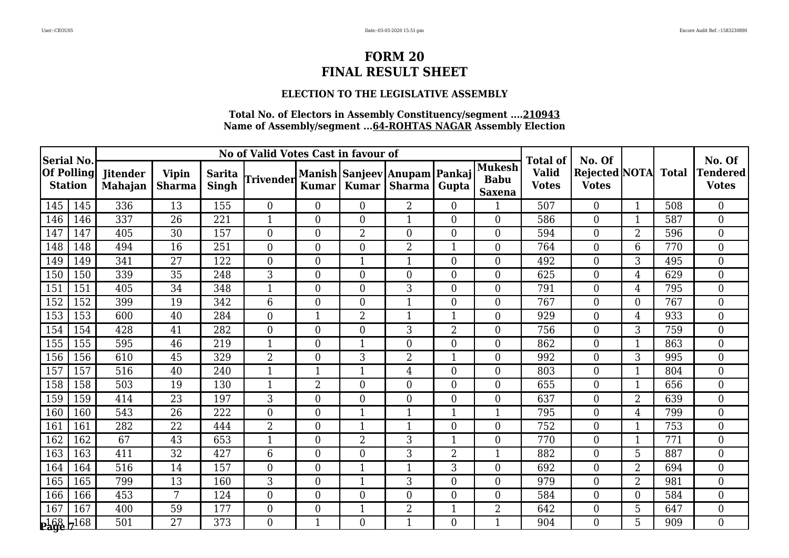### **ELECTION TO THE LEGISLATIVE ASSEMBLY**

| <b>Serial No.</b> |                   |                                   |                               |                               | No of Valid Votes Cast in favour of |                  |                |                                        | <b>Total of</b> | No. Of                                        |                              |                                      | No. Of         |              |                                 |
|-------------------|-------------------|-----------------------------------|-------------------------------|-------------------------------|-------------------------------------|------------------|----------------|----------------------------------------|-----------------|-----------------------------------------------|------------------------------|--------------------------------------|----------------|--------------|---------------------------------|
| <b>Station</b>    | <b>Of Polling</b> | <b>Jitender</b><br><b>Mahajan</b> | <b>Vipin</b><br><b>Sharma</b> | <b>Sarita</b><br><b>Singh</b> | Trivender                           | <b>Kumar</b>     | <b>Kumar</b>   | Manish Sanjeev Anupam Pankaj<br>Sharma | Gupta           | <b>Mukesh</b><br><b>Babu</b><br><b>Saxena</b> | <b>Valid</b><br><b>Votes</b> | <b>Rejected NOTA</b><br><b>Votes</b> |                | <b>Total</b> | <b>Tendered</b><br><b>Votes</b> |
| 145               | 145               | 336                               | 13                            | 155                           | $\overline{0}$                      | $\overline{0}$   | $\theta$       | $\overline{2}$                         | $\overline{0}$  | 1                                             | 507                          | $\overline{0}$                       | $\mathbf{1}$   | 508          | $\overline{0}$                  |
| 146               | 146               | 337                               | 26                            | 221                           | 1                                   | $\overline{0}$   | $\Omega$       | $\mathbf 1$                            | $\overline{0}$  | $\overline{0}$                                | 586                          | $\overline{0}$                       |                | 587          | $\overline{0}$                  |
| 147               | 147               | 405                               | 30                            | 157                           | $\overline{0}$                      | $\overline{0}$   | $\overline{2}$ | $\theta$                               | $\mathbf{0}$    | $\overline{0}$                                | 594                          | $\overline{0}$                       | $\overline{2}$ | 596          | $\overline{0}$                  |
| 148               | 148               | 494                               | 16                            | 251                           | $\overline{0}$                      | $\overline{0}$   | $\Omega$       | $\overline{2}$                         | $\mathbf{1}$    | $\overline{0}$                                | 764                          | $\overline{0}$                       | 6              | 770          | $\overline{0}$                  |
| 149               | 149               | 341                               | 27                            | 122                           | $\overline{0}$                      | $\boldsymbol{0}$ | 1              | $\mathbf 1$                            | $\overline{0}$  | $\overline{0}$                                | 492                          | $\overline{0}$                       | 3              | 495          | $\boldsymbol{0}$                |
| 150               | 150               | 339                               | 35                            | 248                           | 3                                   | $\boldsymbol{0}$ | $\Omega$       | $\overline{0}$                         | $\mathbf{0}$    | $\overline{0}$                                | 625                          | $\boldsymbol{0}$                     | 4              | 629          | $\boldsymbol{0}$                |
| 151               | 151               | 405                               | 34                            | 348                           | $\mathbf{1}$                        | $\overline{0}$   | $\Omega$       | 3                                      | $\overline{0}$  | $\overline{0}$                                | 791                          | $\overline{0}$                       | 4              | 795          | $\boldsymbol{0}$                |
| 152               | 152               | 399                               | 19                            | 342                           | 6                                   | $\overline{0}$   | $\overline{0}$ | 1                                      | $\mathbf{0}$    | $\overline{0}$                                | 767                          | $\overline{0}$                       | 0              | 767          | $\overline{0}$                  |
| 153               | 153               | 600                               | $\overline{40}$               | 284                           | $\overline{0}$                      | $\mathbf{1}$     | $\overline{2}$ | 1                                      | $\mathbf{1}$    | $\overline{0}$                                | 929                          | $\overline{0}$                       | 4              | 933          | $\mathbf{0}$                    |
| 154               | 154               | 428                               | 41                            | 282                           | $\overline{0}$                      | $\overline{0}$   | $\Omega$       | 3                                      | $\overline{2}$  | $\overline{0}$                                | 756                          | $\overline{0}$                       | 3              | 759          | $\overline{0}$                  |
| 155               | 155               | 595                               | 46                            | 219                           | $\mathbf 1$                         | $\overline{0}$   |                | $\overline{0}$                         | $\mathbf{0}$    | $\overline{0}$                                | 862                          | $\boldsymbol{0}$                     |                | 863          | $\overline{0}$                  |
| 156               | 156               | 610                               | 45                            | 329                           | $\overline{2}$                      | $\boldsymbol{0}$ | 3              | 2                                      | $\overline{1}$  | $\overline{0}$                                | 992                          | $\boldsymbol{0}$                     | 3              | 995          | $\boldsymbol{0}$                |
| 157               | 157               | 516                               | 40                            | 240                           | 1                                   | $\mathbf{1}$     | 1              | 4                                      | $\theta$        | $\overline{0}$                                | 803                          | $\overline{0}$                       | 1              | 804          | $\overline{0}$                  |
| 158               | 158               | 503                               | 19                            | 130                           | 1                                   | $\overline{2}$   | $\Omega$       | $\overline{0}$                         | $\overline{0}$  | $\overline{0}$                                | 655                          | $\boldsymbol{0}$                     |                | 656          | $\overline{0}$                  |
| 159               | 159               | 414                               | 23                            | 197                           | 3                                   | $\boldsymbol{0}$ | $\theta$       | $\overline{0}$                         | $\overline{0}$  | $\overline{0}$                                | 637                          | $\overline{0}$                       | $\overline{2}$ | 639          | $\overline{0}$                  |
| 160               | 160               | 543                               | 26                            | 222                           | $\overline{0}$                      | $\overline{0}$   | 1              | 1                                      | $\mathbf{1}$    | $\mathbf{1}$                                  | 795                          | $\overline{0}$                       | 4              | 799          | $\boldsymbol{0}$                |
| 161               | 161               | 282                               | 22                            | 444                           | $\overline{2}$                      | $\overline{0}$   | -1             | $\mathbf{1}$                           | $\mathbf{0}$    | $\overline{0}$                                | 752                          | $\overline{0}$                       |                | 753          | $\overline{0}$                  |
| 162               | 162               | 67                                | 43                            | 653                           | $\mathbf{1}$                        | $\overline{0}$   | $\overline{2}$ | 3                                      | $\mathbf{1}$    | $\overline{0}$                                | 770                          | $\overline{0}$                       | 1              | 771          | $\overline{0}$                  |
| 163               | 163               | 411                               | 32                            | 427                           | 6                                   | $\boldsymbol{0}$ | $\Omega$       | 3                                      | $\overline{2}$  | 1                                             | 882                          | $\boldsymbol{0}$                     | 5              | 887          | $\boldsymbol{0}$                |
| 164               | 164               | 516                               | 14                            | 157                           | $\boldsymbol{0}$                    | $\boldsymbol{0}$ |                | $\mathbf 1$                            | 3               | $\overline{0}$                                | 692                          | $\boldsymbol{0}$                     | $\overline{2}$ | 694          | $\boldsymbol{0}$                |
| 165               | 165               | 799                               | 13                            | 160                           | 3                                   | $\overline{0}$   | 1              | 3                                      | $\overline{0}$  | $\overline{0}$                                | 979                          | $\overline{0}$                       | $\overline{2}$ | 981          | $\overline{0}$                  |
| 166               | 166               | 453                               | 7                             | 124                           | $\boldsymbol{0}$                    | $\boldsymbol{0}$ | $\theta$       | $\overline{0}$                         | $\overline{0}$  | $\overline{0}$                                | 584                          | $\boldsymbol{0}$                     | $\Omega$       | 584          | $\boldsymbol{0}$                |
| 167               | 167               | 400                               | 59                            | 177                           | $\boldsymbol{0}$                    | $\boldsymbol{0}$ | $\mathbf 1$    | $\overline{2}$                         | $\mathbf{1}$    | $\overline{2}$                                | 642                          | $\overline{0}$                       | 5              | 647          | $\boldsymbol{0}$                |
| 268/7168          |                   | 501                               | 27                            | 373                           | $\Omega$                            | $\mathbf{1}$     | $\Omega$       | $\mathbf{1}$                           | $\Omega$        | 1                                             | 904                          | $\Omega$                             | 5              | 909          | $\Omega$                        |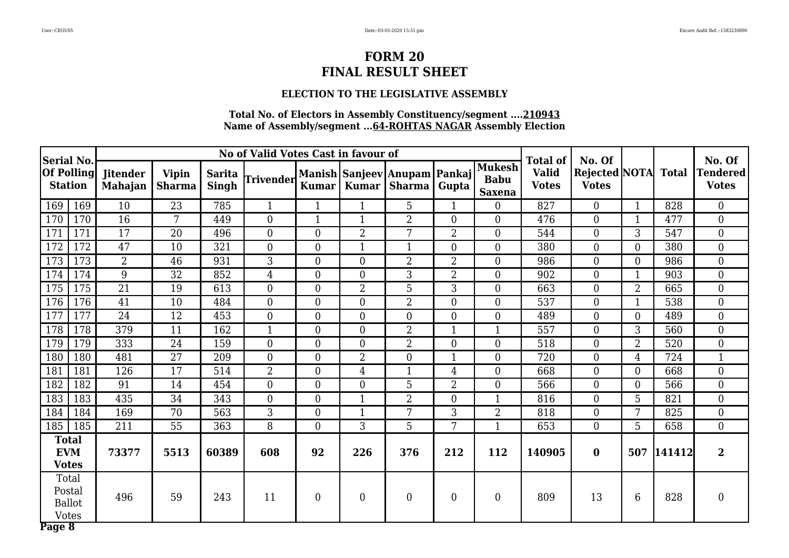### **ELECTION TO THE LEGISLATIVE ASSEMBLY**

| Serial No.        |                                                  |                                   |                               |                        | No of Valid Votes Cast in favour of |                  |                  |                                              |                |                                               | <b>Total of</b>              | No. Of                                     |                |            | No. Of                    |
|-------------------|--------------------------------------------------|-----------------------------------|-------------------------------|------------------------|-------------------------------------|------------------|------------------|----------------------------------------------|----------------|-----------------------------------------------|------------------------------|--------------------------------------------|----------------|------------|---------------------------|
| <b>Of Polling</b> | <b>Station</b>                                   | <b>Jitender</b><br><b>Mahajan</b> | <b>Vipin</b><br><b>Sharma</b> | <b>Sarita</b><br>Singh | <b>Trivender</b>                    | <b>Kumar</b>     | Kumar            | Manish   Sanjeev   Anupam   Pankaj<br>Sharma | Gupta          | <b>Mukesh</b><br><b>Babu</b><br><b>Saxena</b> | <b>Valid</b><br><b>Votes</b> | <b>Rejected NOTA</b> Total<br><b>Votes</b> |                |            | Tendered <br><b>Votes</b> |
| 169               | 169                                              | 10                                | 23                            | 785                    | $\mathbf{1}$                        | $\mathbf{1}$     | $\mathbf{1}$     | 5                                            | $\mathbf{1}$   | $\overline{0}$                                | 827                          | $\overline{0}$                             | $\mathbf{1}$   | 828        | $\boldsymbol{0}$          |
| 170               | 170                                              | 16                                | 7                             | 449                    | $\overline{0}$                      | $\mathbf{1}$     | $\mathbf{1}$     | $\overline{2}$                               | $\theta$       | $\overline{0}$                                | 476                          | $\overline{0}$                             | $\mathbf{1}$   | 477        | $\boldsymbol{0}$          |
| 171               | 171                                              | 17                                | 20                            | 496                    | $\overline{0}$                      | $\boldsymbol{0}$ | $\overline{2}$   | 7                                            | $\overline{2}$ | $\overline{0}$                                | 544                          | $\boldsymbol{0}$                           | 3              | 547        | $\mathbf{0}$              |
| 172               | 172                                              | 47                                | 10                            | 321                    | $\boldsymbol{0}$                    | $\boldsymbol{0}$ | $\mathbf{1}$     | $\mathbf{1}$                                 | $\overline{0}$ | $\boldsymbol{0}$                              | 380                          | $\mathbf 0$                                | $\overline{0}$ | 380        | $\boldsymbol{0}$          |
| 173               | 173                                              | $\overline{2}$                    | 46                            | 931                    | 3                                   | $\overline{0}$   | $\overline{0}$   | $\overline{2}$                               | $\overline{2}$ | $\overline{0}$                                | 986                          | $\overline{0}$                             | $\overline{0}$ | 986        | $\overline{0}$            |
| 174               | 174                                              | 9                                 | 32                            | 852                    | 4                                   | $\overline{0}$   | $\theta$         | 3                                            | $\overline{2}$ | $\boldsymbol{0}$                              | 902                          | $\mathbf{0}$                               | 1              | 903        | $\boldsymbol{0}$          |
| 175               | 175                                              | 21                                | 19                            | 613                    | $\boldsymbol{0}$                    | $\boldsymbol{0}$ | $\overline{2}$   | 5                                            | 3              | $\boldsymbol{0}$                              | 663                          | $\mathbf{0}$                               | 2              | 665        | $\boldsymbol{0}$          |
| 176               | 176                                              | 41                                | 10                            | 484                    | $\overline{0}$                      | $\overline{0}$   | $\overline{0}$   | $\overline{2}$                               | $\overline{0}$ | $\overline{0}$                                | 537                          | $\overline{0}$                             | $\mathbf{1}$   | 538        | $\mathbf{0}$              |
| 177               | 177                                              | 24                                | 12                            | 453                    | $\overline{0}$                      | $\overline{0}$   | $\theta$         | $\overline{0}$                               | $\theta$       | $\overline{0}$                                | 489                          | $\overline{0}$                             | $\Omega$       | 489        | $\boldsymbol{0}$          |
| 178               | 178                                              | 379                               | $\overline{11}$               | 162                    | $\mathbf{1}$                        | $\overline{0}$   | $\boldsymbol{0}$ | $\overline{2}$                               | $\overline{1}$ | $\mathbf{1}$                                  | $\overline{557}$             | $\overline{0}$                             | 3              | 560        | $\mathbf{0}$              |
| 179               | 179                                              | 333                               | 24                            | 159                    | $\overline{0}$                      | $\overline{0}$   | $\overline{0}$   | $\overline{2}$                               | $\overline{0}$ | $\overline{0}$                                | 518                          | $\overline{0}$                             | $\overline{2}$ | 520        | $\boldsymbol{0}$          |
| 180               | 180                                              | 481                               | 27                            | 209                    | $\overline{0}$                      | $\boldsymbol{0}$ | $\overline{2}$   | $\overline{0}$                               | $\mathbf{1}$   | $\boldsymbol{0}$                              | 720                          | $\boldsymbol{0}$                           | 4              | 724        | $\mathbf{1}$              |
| 181               | 181                                              | 126                               | $\overline{17}$               | 514                    | $\overline{2}$                      | $\overline{0}$   | $\overline{4}$   | $\mathbf{1}$                                 | $\overline{4}$ | $\overline{0}$                                | 668                          | $\overline{0}$                             | $\overline{0}$ | 668        | $\overline{0}$            |
| 182               | 182                                              | 91                                | 14                            | 454                    | $\overline{0}$                      | $\overline{0}$   | $\overline{0}$   | 5                                            | $\overline{2}$ | $\boldsymbol{0}$                              | 566                          | $\overline{0}$                             | $\overline{0}$ | 566        | $\boldsymbol{0}$          |
| 183               | 183                                              | 435                               | 34                            | 343                    | $\overline{0}$                      | $\boldsymbol{0}$ | $\mathbf{1}$     | $\overline{2}$                               | $\overline{0}$ | $\mathbf{1}$                                  | 816                          | $\boldsymbol{0}$                           | 5              | 821        | $\boldsymbol{0}$          |
| 184               | 184                                              | 169                               | 70                            | 563                    | 3                                   | $\overline{0}$   | $\mathbf{1}$     | 7                                            | 3              | $\overline{2}$                                | 818                          | $\overline{0}$                             | 7              | 825        | $\mathbf{0}$              |
| 185               | 185                                              | 211                               | 55                            | 363                    | 8                                   | $\overline{0}$   | 3                | 5                                            | 7              | $\mathbf{1}$                                  | 653                          | $\overline{0}$                             | 5              | 658        | $\overline{0}$            |
|                   | <b>Total</b><br><b>EVM</b><br><b>Votes</b>       | 73377                             | 5513                          | 60389                  | 608                                 | 92               | 226              | 376                                          | 212            | 112                                           | 140905                       | $\bf{0}$                                   |                | 507 141412 | $\overline{2}$            |
| Page 8            | Total<br>Postal<br><b>Ballot</b><br><b>Votes</b> | 496                               | 59                            | 243                    | 11                                  | $\overline{0}$   | $\overline{0}$   | $\overline{0}$                               | $\overline{0}$ | $\boldsymbol{0}$                              | 809                          | 13                                         | 6              | 828        | $\boldsymbol{0}$          |